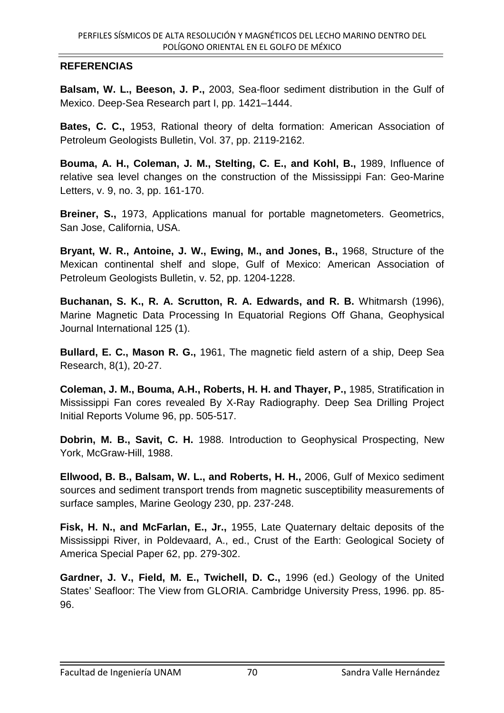## **REFERENCIAS**

**Balsam, W. L., Beeson, J. P.,** 2003, Sea-floor sediment distribution in the Gulf of Mexico. Deep-Sea Research part I, pp. 1421–1444.

**Bates, C. C.,** 1953, Rational theory of delta formation: American Association of Petroleum Geologists Bulletin, Vol. 37, pp. 2119-2162.

**Bouma, A. H., Coleman, J. M., Stelting, C. E., and Kohl, B.,** 1989, Influence of relative sea level changes on the construction of the Mississippi Fan: Geo-Marine Letters, v. 9, no. 3, pp. 161-170.

**Breiner, S.,** 1973, Applications manual for portable magnetometers. Geometrics, San Jose, California, USA.

**Bryant, W. R., Antoine, J. W., Ewing, M., and Jones, B.,** 1968, Structure of the Mexican continental shelf and slope, Gulf of Mexico: American Association of Petroleum Geologists Bulletin, v. 52, pp. 1204-1228.

**Buchanan, S. K., R. A. Scrutton, R. A. Edwards, and R. B.** Whitmarsh (1996), Marine Magnetic Data Processing In Equatorial Regions Off Ghana, Geophysical Journal International 125 (1).

**Bullard, E. C., Mason R. G.,** 1961, The magnetic field astern of a ship, Deep Sea Research, 8(1), 20-27.

**Coleman, J. M., Bouma, A.H., Roberts, H. H. and Thayer, P.,** 1985, Stratification in Mississippi Fan cores revealed By X-Ray Radiography. Deep Sea Drilling Project Initial Reports Volume 96, pp. 505-517.

**Dobrin, M. B., Savit, C. H.** 1988. Introduction to Geophysical Prospecting, New York, McGraw-Hill, 1988.

**Ellwood, B. B., Balsam, W. L., and Roberts, H. H.,** 2006, Gulf of Mexico sediment sources and sediment transport trends from magnetic susceptibility measurements of surface samples, Marine Geology 230, pp. 237-248.

**Fisk, H. N., and McFarlan, E., Jr.,** 1955, Late Quaternary deltaic deposits of the Mississippi River, in Poldevaard, A., ed., Crust of the Earth: Geological Society of America Special Paper 62, pp. 279-302.

**Gardner, J. V., Field, M. E., Twichell, D. C.,** 1996 (ed.) Geology of the United States' Seafloor: The View from GLORIA. Cambridge University Press, 1996. pp. 85- 96.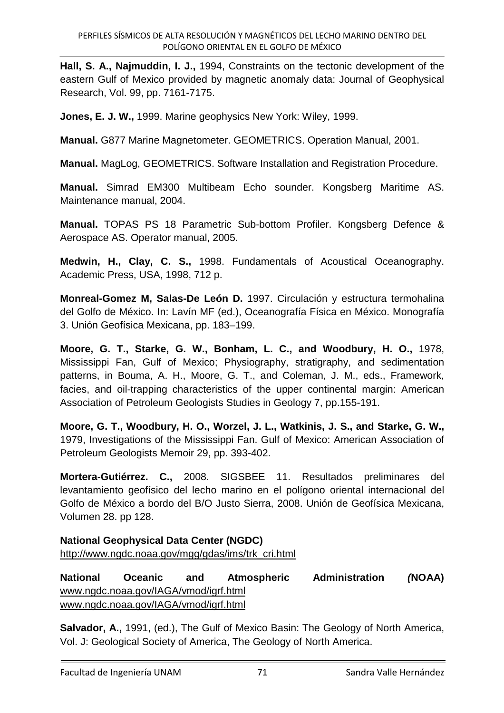**Hall, S. A., Najmuddin, I. J.,** 1994, Constraints on the tectonic development of the eastern Gulf of Mexico provided by magnetic anomaly data: Journal of Geophysical Research, Vol. 99, pp. 7161-7175.

**Jones, E. J. W.,** 1999. Marine geophysics New York: Wiley, 1999.

**Manual.** G877 Marine Magnetometer. GEOMETRICS. Operation Manual, 2001.

**Manual.** MagLog, GEOMETRICS. Software Installation and Registration Procedure.

**Manual.** Simrad EM300 Multibeam Echo sounder. Kongsberg Maritime AS. Maintenance manual, 2004.

**Manual.** TOPAS PS 18 Parametric Sub-bottom Profiler. Kongsberg Defence & Aerospace AS. Operator manual, 2005.

**Medwin, H., Clay, C. S.,** 1998. Fundamentals of Acoustical Oceanography. Academic Press, USA, 1998, 712 p.

**Monreal-Gomez M, Salas-De León D.** 1997. Circulación y estructura termohalina del Golfo de México. In: Lavín MF (ed.), Oceanografía Física en México. Monografía 3. Unión Geofísica Mexicana, pp. 183–199.

**Moore, G. T., Starke, G. W., Bonham, L. C., and Woodbury, H. O.,** 1978, Mississippi Fan, Gulf of Mexico; Physiography, stratigraphy, and sedimentation patterns, in Bouma, A. H., Moore, G. T., and Coleman, J. M., eds., Framework, facies, and oil-trapping characteristics of the upper continental margin: American Association of Petroleum Geologists Studies in Geology 7, pp.155-191.

**Moore, G. T., Woodbury, H. O., Worzel, J. L., Watkinis, J. S., and Starke, G. W.,**  1979, Investigations of the Mississippi Fan. Gulf of Mexico: American Association of Petroleum Geologists Memoir 29, pp. 393-402.

**Mortera-Gutiérrez. C.,** 2008. SIGSBEE 11. Resultados preliminares del levantamiento geofísico del lecho marino en el polígono oriental internacional del Golfo de México a bordo del B/O Justo Sierra, 2008. Unión de Geofísica Mexicana, Volumen 28. pp 128.

**National Geophysical Data Center (NGDC)**  http://www.ngdc.noaa.gov/mgg/gdas/ims/trk\_cri.html

**National Oceanic and Atmospheric Administration (NOAA)** www.ngdc.noaa.gov/IAGA/vmod/igrf.html www.ngdc.noaa.gov/IAGA/vmod/igrf.html

**Salvador, A.,** 1991, (ed.), The Gulf of Mexico Basin: The Geology of North America, Vol. J: Geological Society of America, The Geology of North America.